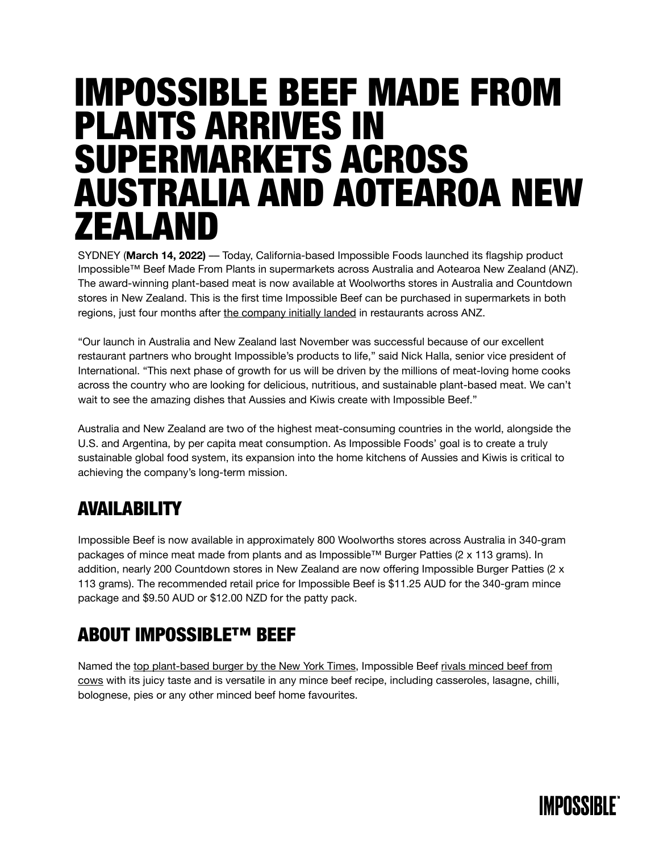# IMPOSSIBLE BEEF MADE FROM PLANTS ARRIVES IN SUPERMARKETS ACROSS AUSTRALIA AND AOTEAROA NEW ZEALAND

SYDNEY (**March 14, 2022)** –– Today, California-based Impossible Foods launched its flagship product Impossible™ Beef Made From Plants in supermarkets across Australia and Aotearoa New Zealand (ANZ). The award-winning plant-based meat is now available at Woolworths stores in Australia and Countdown stores in New Zealand. This is the first time Impossible Beef can be purchased in supermarkets in both regions, just four months after [the company initially landed](https://impossiblefoods.com/au-en/media/news-releases/impossible-foods-accelerates-international-expansion-australia-new-zealand) in restaurants across ANZ.

"Our launch in Australia and New Zealand last November was successful because of our excellent restaurant partners who brought Impossible's products to life," said Nick Halla, senior vice president of International. "This next phase of growth for us will be driven by the millions of meat-loving home cooks across the country who are looking for delicious, nutritious, and sustainable plant-based meat. We can't wait to see the amazing dishes that Aussies and Kiwis create with Impossible Beef."

Australia and New Zealand are two of the highest meat-consuming countries in the world, alongside the U.S. and Argentina, by per capita meat consumption. As Impossible Foods' goal is to create a truly sustainable global food system, its expansion into the home kitchens of Aussies and Kiwis is critical to achieving the company's long-term mission.

### AVAILABILITY

Impossible Beef is now available in approximately 800 Woolworths stores across Australia in 340-gram packages of mince meat made from plants and as Impossible™ Burger Patties (2 x 113 grams). In addition, nearly 200 Countdown stores in New Zealand are now offering Impossible Burger Patties (2 x 113 grams). The recommended retail price for Impossible Beef is \$11.25 AUD for the 340-gram mince package and \$9.50 AUD or \$12.00 NZD for the patty pack.

### ABOUT IMPOSSIBLE™ BEEF

Named the [top plant-based burger by the New York Times](https://www.nytimes.com/2019/10/22/dining/veggie-burger-taste-test.html?auth=login-google), Impossible Beef [rivals minced beef from](https://medium.com/impossible-foods/how-we-know-youll-like-very-much-the-new-impossible-burger-3d841683cec1)  [cows](https://medium.com/impossible-foods/how-we-know-youll-like-very-much-the-new-impossible-burger-3d841683cec1) with its juicy taste and is versatile in any mince beef recipe, including casseroles, lasagne, chilli, bolognese, pies or any other minced beef home favourites.

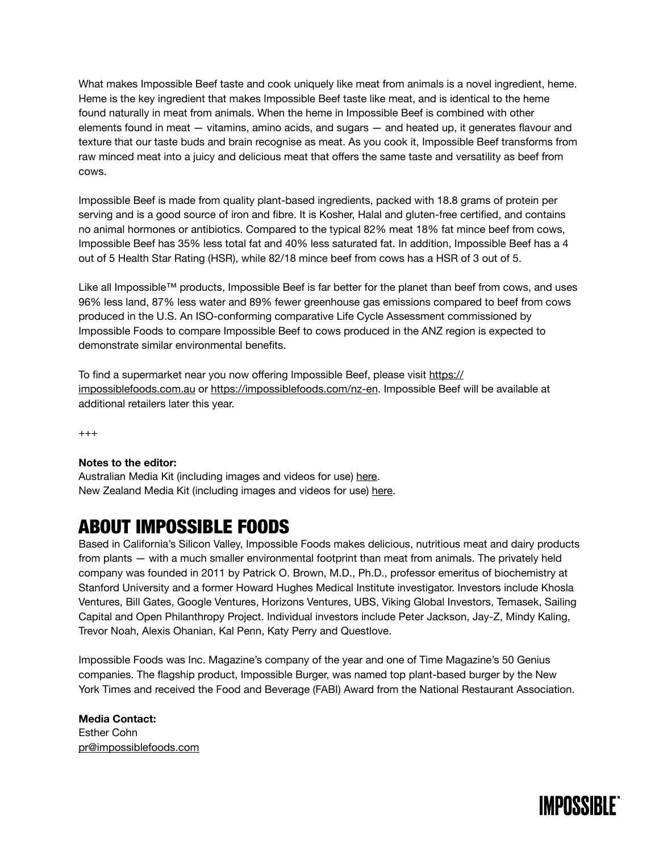What makes Impossible Beef taste and cook uniquely like meat from animals is a novel ingredient, heme. Heme is the key ingredient that makes Impossible Beef taste like meat, and is identical to the heme found naturally in meat from animals. When the heme in Impossible Beef is combined with other elements found in meat — vitamins, amino acids, and sugars — and heated up, it generates flavour and texture that our taste buds and brain recognise as meat. As you cook it, Impossible Beef transforms from raw minced meat into a juicy and delicious meat that offers the same taste and versatility as beef from cows.

Impossible Beef is made from quality plant-based ingredients, packed with 18.8 grams of protein per serving and is a good source of iron and fibre. It is Kosher, Halal and gluten-free certified, and contains no animal hormones or antibiotics. Compared to the typical 82% meat 18% fat mince beef from cows, Impossible Beef has 35% less total fat and 40% less saturated fat. In addition, Impossible Beef has a 4 out of 5 Health Star Rating (HSR), while 82/18 mince beef from cows has a HSR of 3 out of 5.

Like all Impossible™ products, Impossible Beef is far better for the planet than beef from cows, and uses 96% less land, 87% less water and 89% fewer greenhouse gas emissions compared to beef from cows produced in the U.S. An ISO-conforming comparative Life Cycle Assessment commissioned by Impossible Foods to compare Impossible Beef to cows produced in the ANZ region is expected to demonstrate similar environmental benefits.

To find a supermarket near you now offering Impossible Beef, please visit [https://](https://impossiblefoods.com.au) [impossiblefoods.com.au](https://impossiblefoods.com.au) or <https://impossiblefoods.com/nz-en>. Impossible Beef will be available at additional retailers later this year.

 $^{+++}$ 

#### **Notes to the editor:**

Australian Media Kit (including images and videos for use) [here](https://impossiblefoods.com.au/media). New Zealand Media Kit (including images and videos for use) [here.](https://impossiblefoods.com/nz-en/media)

### ABOUT IMPOSSIBLE FOODS

Based in California's Silicon Valley, Impossible Foods makes delicious, nutritious meat and dairy products from plants — with a much smaller environmental footprint than meat from animals. The privately held company was founded in 2011 by Patrick O. Brown, M.D., Ph.D., professor emeritus of biochemistry at Stanford University and a former Howard Hughes Medical Institute investigator. Investors include Khosla Ventures, Bill Gates, Google Ventures, Horizons Ventures, UBS, Viking Global Investors, Temasek, Sailing Capital and Open Philanthropy Project. Individual investors include Peter Jackson, Jay-Z, Mindy Kaling, Trevor Noah, Alexis Ohanian, Kal Penn, Katy Perry and Questlove.

Impossible Foods was Inc. Magazine's company of the year and one of Time Magazine's 50 Genius companies. The flagship product, Impossible Burger, was named top plant-based burger by the New York Times and received the Food and Beverage (FABI) Award from the National Restaurant Association.

**Media Contact:**  Esther Cohn [pr@impossiblefoods.com](mailto:pr@impossiblefoods.com)